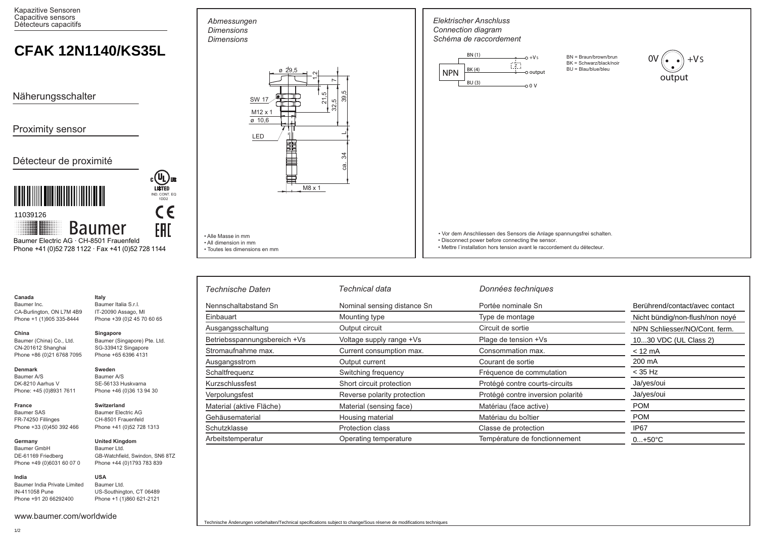Kapazitive Sensoren Capacitive sensors Détecteurs capacitifs

# **CFAK 12N1140/KS35L**

Näherungsschalter

Proximity sensor

## Détecteur de proximité



Phone +41 (0)52 728 1122 · Fax +41 (0)52 728 1144

**Italy**

| Canada     |  |
|------------|--|
| Baumer Inc |  |

**China** 

Baumer Inc. CA-Burlington, ON L7M 4B9 Phone +1 (1)905 335-8444 Baumer Italia S.r.l. IT-20090 Assago, MI Phone +39 (0)2 45 70 60 65

# Baumer (China) Co., Ltd.

Phone +86 (0)21 6768 7095 **Singapore** Baumer (Singapore) Pte. Ltd. SG-339412 Singapore Phone +65 6396 4131

> **Sweden** Baumer A/S SE-56133 Huskvarna Phone +46 (0)36 13 94 30

**Switzerland** Baumer Electric AG CH-8501 Frauenfeld Phone +41 (0)52 728 1313

### **Denmark**

Baumer A/S DK-8210 Aarhus V Phone: +45 (0)8931 7611

CN-201612 Shanghai

#### **France** Baumer SAS

FR-74250 Fillinges Phone +33 (0)450 392 466

Phone +49 (0)6031 60 07 0

**Germany**  Baumer GmbH DE-61169 Friedberg

#### **United Kingdom** Baumer Ltd. GB-Watchfield, Swindon, SN6 8TZ Phone +44 (0)1793 783 839

**India** Baumer India Private Limited IN-411058 Pune Phone +91 20 66292400 **USA** Baumer Ltd. US-Southington, CT 06489 Phone +1 (1)860 621-2121

www.baumer.com/worldwide



• Alle Masse in mm • All dimension in mm

*Abmessungen Dimensions Dimensions*

• Toutes les dimensions en mm

| <b>NPN</b> | BN (1)<br>BK (4)<br>BU(3) | $-0 + Vs$<br>$\overline{z}$ .<br>-O output<br>$-00V$ | BN = Braun/brown/brun<br>BK = Schwarz/black/noir<br>BU = Blau/blue/bleu | $+VS$<br>0V<br>output |
|------------|---------------------------|------------------------------------------------------|-------------------------------------------------------------------------|-----------------------|
|            |                           |                                                      |                                                                         |                       |
|            |                           |                                                      |                                                                         |                       |
|            |                           |                                                      |                                                                         |                       |
|            |                           |                                                      |                                                                         |                       |
|            |                           |                                                      |                                                                         |                       |
|            |                           |                                                      |                                                                         |                       |

| <b>Technische Daten</b>      | Technical data              | Données techniques                |                                 |
|------------------------------|-----------------------------|-----------------------------------|---------------------------------|
| Nennschaltabstand Sn         | Nominal sensing distance Sn | Portée nominale Sn                | Berührend/contact/avec contact  |
| Einbauart                    | Mounting type               | Type de montage                   | Nicht bündig/non-flush/non noyé |
| Ausgangsschaltung            | Output circuit              | Circuit de sortie                 | NPN Schliesser/NO/Cont. ferm.   |
| Betriebsspannungsbereich +Vs | Voltage supply range +Vs    | Plage de tension +Vs              | 1030 VDC (UL Class 2)           |
| Stromaufnahme max.           | Current consumption max.    | Consommation max.                 | $< 12 \text{ mA}$               |
| Ausgangsstrom                | Output current              | Courant de sortie                 | 200 mA                          |
| Schaltfrequenz               | Switching frequency         | Fréquence de commutation          | $<$ 35 Hz                       |
| Kurzschlussfest              | Short circuit protection    | Protégé contre courts-circuits    | Ja/yes/oui                      |
| Verpolungsfest               | Reverse polarity protection | Protégé contre inversion polarité | Ja/yes/oui                      |
| Material (aktive Fläche)     | Material (sensing face)     | Matériau (face active)            | <b>POM</b>                      |
| Gehäusematerial              | Housing material            | Matériau du boîtier               | <b>POM</b>                      |
| Schutzklasse                 | <b>Protection class</b>     | Classe de protection              | IP <sub>67</sub>                |
| Arbeitstemperatur            | Operating temperature       | Température de fonctionnement     | $0+50°C$                        |

*Elektrischer Anschluss*